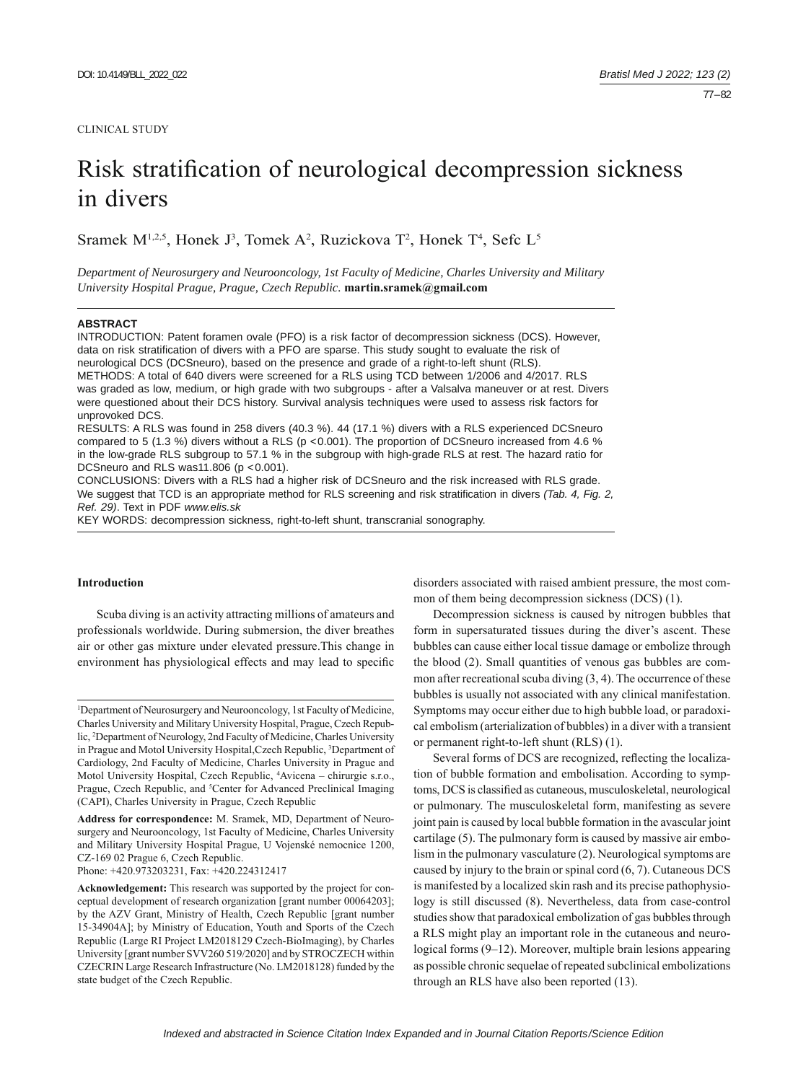#### CLINICAL STUDY

# Risk stratification of neurological decompression sickness in divers

Sramek  $M^{1,2,5}$ , Honek J<sup>3</sup>, Tomek A<sup>2</sup>, Ruzickova T<sup>2</sup>, Honek T<sup>4</sup>, Sefc L<sup>5</sup>

*Department of Neurosurgery and Neurooncology, 1st Faculty of Medicine, Charles University and Military University Hospital Prague, Prague, Czech Republic.* **martin.sramek@gmail.com**

## **ABSTRACT**

INTRODUCTION: Patent foramen ovale (PFO) is a risk factor of decompression sickness (DCS). However, data on risk stratification of divers with a PFO are sparse. This study sought to evaluate the risk of neurological DCS (DCSneuro), based on the presence and grade of a right-to-left shunt (RLS). METHODS: A total of 640 divers were screened for a RLS using TCD between 1/2006 and 4/2017. RLS was graded as low, medium, or high grade with two subgroups - after a Valsalva maneuver or at rest. Divers were questioned about their DCS history. Survival analysis techniques were used to assess risk factors for unprovoked DCS. RESULTS: A RLS was found in 258 divers (40.3 %). 44 (17.1 %) divers with a RLS experienced DCSneuro

compared to 5 (1.3 %) divers without a RLS (p <0.001). The proportion of DCSneuro increased from 4.6 % in the low-grade RLS subgroup to 57.1 % in the subgroup with high-grade RLS at rest. The hazard ratio for DCSneuro and RLS was11.806 (p <0.001).

CONCLUSIONS: Divers with a RLS had a higher risk of DCSneuro and the risk increased with RLS grade. We suggest that TCD is an appropriate method for RLS screening and risk stratification in divers *(Tab. 4, Fig. 2, alg. 2, propriate method for RLS screening and risk stratification in divers <i>(Tab. 4, Fig. 2, propriate me Ref. 29)*. Text in PDF *www.elis.sk*

KEY WORDS: decompression sickness, right-to-left shunt, transcranial sonography.

## **Introduction**

Scuba diving is an activity attracting millions of amateurs and professionals worldwide. During submersion, the diver breathes air or other gas mixture under elevated pressure.This change in environment has physiological effects and may lead to specific

**Address for correspondence:** M. Sramek, MD, Department of Neurosurgery and Neurooncology, 1st Faculty of Medicine, Charles University and Military University Hospital Prague, U Vojenské nemocnice 1200, CZ-169 02 Prague 6, Czech Republic.

Phone: +420.973203231, Fax: +420.224312417

disorders associated with raised ambient pressure, the most common of them being decompression sickness (DCS) (1).

Decompression sickness is caused by nitrogen bubbles that form in supersaturated tissues during the diver's ascent. These bubbles can cause either local tissue damage or embolize through the blood (2). Small quantities of venous gas bubbles are common after recreational scuba diving (3, 4). The occurrence of these bubbles is usually not associated with any clinical manifestation. Symptoms may occur either due to high bubble load, or paradoxical embolism (arterialization of bubbles) in a diver with a transient or permanent right-to-left shunt (RLS) (1).

Several forms of DCS are recognized, reflecting the localization of bubble formation and embolisation. According to symptoms, DCS is classified as cutaneous, musculoskeletal, neurological or pulmonary. The musculoskeletal form, manifesting as severe joint pain is caused by local bubble formation in the avascular joint cartilage (5). The pulmonary form is caused by massive air embolism in the pulmonary vasculature (2). Neurological symptoms are caused by injury to the brain or spinal cord (6, 7). Cutaneous DCS is manifested by a localized skin rash and its precise pathophysiology is still discussed (8). Nevertheless, data from case-control studies show that paradoxical embolization of gas bubbles through a RLS might play an important role in the cutaneous and neurological forms (9–12). Moreover, multiple brain lesions appearing as possible chronic sequelae of repeated subclinical embolizations through an RLS have also been reported (13).

<sup>1</sup> Department of Neurosurgery and Neurooncology, 1st Faculty of Medicine, Charles University and Military University Hospital, Prague, Czech Republic, 2 Department of Neurology, 2nd Faculty of Medicine, Charles University in Prague and Motol University Hospital, Czech Republic, <sup>3</sup>Department of Cardiology, 2nd Faculty of Medicine, Charles University in Prague and Motol University Hospital, Czech Republic, 4 Avicena – chirurgie s.r.o., Prague, Czech Republic, and <sup>5</sup>Center for Advanced Preclinical Imaging (CAPI), Charles University in Prague, Czech Republic

**Acknowledgement:** This research was supported by the project for conceptual development of research organization [grant number 00064203]; by the AZV Grant, Ministry of Health, Czech Republic [grant number 15-34904A]; by Ministry of Education, Youth and Sports of the Czech Republic (Large RI Project LM2018129 Czech-BioImaging), by Charles University [grant number SVV260 519/2020] and by STROCZECH within CZECRIN Large Research Infrastructure (No. LM2018128) funded by the state budget of the Czech Republic.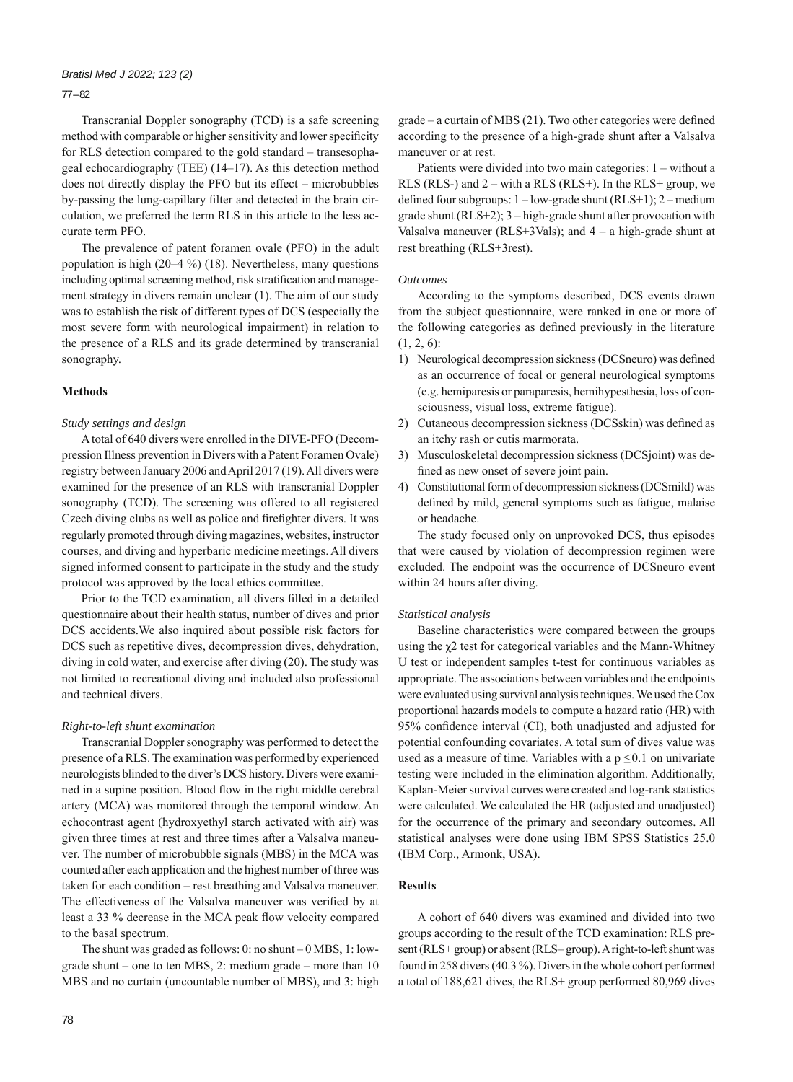# 77 – 82

Transcranial Doppler sonography (TCD) is a safe screening method with comparable or higher sensitivity and lower specificity for RLS detection compared to the gold standard – transesophageal echocardiography (TEE) (14–17). As this detection method does not directly display the PFO but its effect – microbubbles by-passing the lung-capillary filter and detected in the brain circulation, we preferred the term RLS in this article to the less accurate term PFO.

The prevalence of patent foramen ovale (PFO) in the adult population is high (20–4 %) (18). Nevertheless, many questions including optimal screening method, risk stratification and management strategy in divers remain unclear (1). The aim of our study was to establish the risk of different types of DCS (especially the most severe form with neurological impairment) in relation to the presence of a RLS and its grade determined by transcranial sonography.

# **Methods**

## *Study settings and design*

A total of 640 divers were enrolled in the DIVE-PFO (Decompression Illness prevention in Divers with a Patent Foramen Ovale) registry between January 2006 and April 2017 (19). All divers were examined for the presence of an RLS with transcranial Doppler sonography (TCD). The screening was offered to all registered Czech diving clubs as well as police and firefighter divers. It was regularly promoted through diving magazines, websites, instructor courses, and diving and hyperbaric medicine meetings. All divers signed informed consent to participate in the study and the study protocol was approved by the local ethics committee.

Prior to the TCD examination, all divers filled in a detailed questionnaire about their health status, number of dives and prior DCS accidents. We also inquired about possible risk factors for DCS such as repetitive dives, decompression dives, dehydration, diving in cold water, and exercise after diving (20). The study was not limited to recreational diving and included also professional and technical divers.

# *Right-to-left shunt examination*

Transcranial Doppler sonography was performed to detect the presence of a RLS. The examination was performed by experienced neurologists blinded to the diver's DCS history. Divers were examined in a supine position. Blood flow in the right middle cerebral artery (MCA) was monitored through the temporal window. An echocontrast agent (hydroxyethyl starch activated with air) was given three times at rest and three times after a Valsalva maneuver. The number of microbubble signals (MBS) in the MCA was counted after each application and the highest number of three was taken for each condition – rest breathing and Valsalva maneuver. The effectiveness of the Valsalva maneuver was verified by at least a 33 % decrease in the MCA peak flow velocity compared to the basal spectrum.

The shunt was graded as follows: 0: no shunt – 0 MBS, 1: lowgrade shunt – one to ten MBS, 2: medium grade – more than 10 MBS and no curtain (uncountable number of MBS), and 3: high

 $grade - a$  curtain of MBS (21). Two other categories were defined according to the presence of a high-grade shunt after a Valsalva maneuver or at rest.

Patients were divided into two main categories: 1 – without a RLS (RLS-) and  $2 - \text{with a RLS}$  (RLS+). In the RLS+ group, we defined four subgroups:  $1 - low$ -grade shunt (RLS+1);  $2 - medium$ grade shunt (RLS+2); 3 – high-grade shunt after provocation with Valsalva maneuver ( $RLS+3Vals$ ); and  $4 - a$  high-grade shunt at rest breathing (RLS+3rest).

#### *Outcomes*

According to the symptoms described, DCS events drawn from the subject questionnaire, were ranked in one or more of the following categories as defined previously in the literature  $(1, 2, 6)$ :

- 1) Neurological decompression sickness (DCSneuro) was defined as an occurrence of focal or general neurological symptoms (e.g. hemiparesis or paraparesis, hemihypesthesia, loss of consciousness, visual loss, extreme fatigue).
- 2) Cutaneous decompression sickness (DCSskin) was defined as an itchy rash or cutis marmorata.
- 3) Musculoskeletal decompression sickness (DCSjoint) was defined as new onset of severe joint pain.
- 4) Constitutional form of decompression sickness (DCSmild) was defined by mild, general symptoms such as fatigue, malaise or headache.

The study focused only on unprovoked DCS, thus episodes that were caused by violation of decompression regimen were excluded. The endpoint was the occurrence of DCSneuro event within 24 hours after diving.

#### *Statistical analysis*

Baseline characteristics were compared between the groups using the χ2 test for categorical variables and the Mann-Whitney U test or independent samples t-test for continuous variables as appropriate. The associations between variables and the endpoints were evaluated using survival analysis techniques. We used the Cox proportional hazards models to compute a hazard ratio (HR) with 95% confidence interval (CI), both unadjusted and adjusted for potential confounding covariates. A total sum of dives value was used as a measure of time. Variables with a  $p \le 0.1$  on univariate testing were included in the elimination algorithm. Additionally, Kaplan-Meier survival curves were created and log-rank statistics were calculated. We calculated the HR (adjusted and unadjusted) for the occurrence of the primary and secondary outcomes. All statistical analyses were done using IBM SPSS Statistics 25.0 (IBM Corp., Armonk, USA).

## **Results**

A cohort of 640 divers was examined and divided into two groups according to the result of the TCD examination: RLS present (RLS+ group) or absent (RLS– group). A right-to-left shunt was found in 258 divers (40.3 %). Divers in the whole cohort performed a total of 188,621 dives, the RLS+ group performed 80,969 dives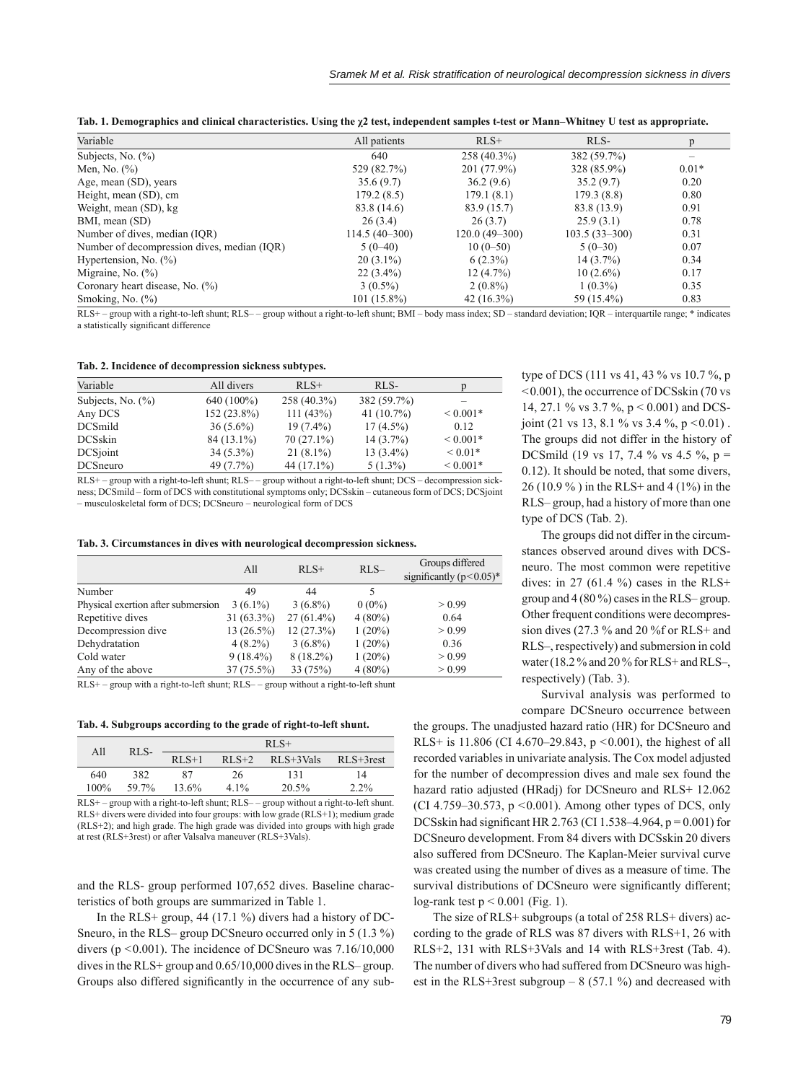|  | Tab. 1. Demographics and clinical characteristics. Using the $\chi^2$ test, independent samples t-test or Mann–Whitney U test as appropriate. |  |  |  |  |
|--|-----------------------------------------------------------------------------------------------------------------------------------------------|--|--|--|--|
|  |                                                                                                                                               |  |  |  |  |

| Variable                                    | All patients    | $RLS+$            | RLS-            |         |
|---------------------------------------------|-----------------|-------------------|-----------------|---------|
| Subjects, No. $(\% )$                       | 640             | 258 (40.3%)       | 382 (59.7%)     |         |
| Men, No. $(\% )$                            | 529 (82.7%)     | 201 (77.9%)       | 328 (85.9%)     | $0.01*$ |
| Age, mean (SD), years                       | 35.6(9.7)       | 36.2(9.6)         | 35.2(9.7)       | 0.20    |
| Height, mean (SD), cm                       | 179.2(8.5)      | 179.1(8.1)        | 179.3(8.8)      | 0.80    |
| Weight, mean (SD), kg                       | 83.8 (14.6)     | 83.9 (15.7)       | 83.8 (13.9)     | 0.91    |
| BMI, mean (SD)                              | 26(3.4)         | 26(3.7)           | 25.9(3.1)       | 0.78    |
| Number of dives, median (IQR)               | $114.5(40-300)$ | $120.0(49 - 300)$ | $103.5(33-300)$ | 0.31    |
| Number of decompression dives, median (IQR) | $5(0-40)$       | $10(0-50)$        | $5(0-30)$       | 0.07    |
| Hypertension, No. $(\% )$                   | $20(3.1\%)$     | $6(2.3\%)$        | $14(3.7\%)$     | 0.34    |
| Migraine, No. $(\%)$                        | $22(3.4\%)$     | $12(4.7\%)$       | $10(2.6\%)$     | 0.17    |
| Coronary heart disease, No. (%)             | $3(0.5\%)$      | $2(0.8\%)$        | $1(0.3\%)$      | 0.35    |
| Smoking, No. $(\%)$                         | $101(15.8\%)$   | $42(16.3\%)$      | 59 (15.4%)      | 0.83    |

RLS+ – group with a right-to-left shunt; RLS– – group without a right-to-left shunt; BMI – body mass index; SD – standard deviation; IQR – interquartile range; \* indicates a statistically significant difference

### **Tab. 2. Incidence of decompression sickness subtypes.**

| Variable              | All divers  | $RLS+$        | RLS-          |              |
|-----------------------|-------------|---------------|---------------|--------------|
| Subjects, No. $(\% )$ | 640 (100%)  | $258(40.3\%)$ | 382 (59.7%)   |              |
| Any DCS               | 152 (23.8%) | 111(43%)      | 41 $(10.7\%)$ | ${}< 0.001*$ |
| <b>DCSmild</b>        | $36(5.6\%)$ | $19(7.4\%)$   | $17(4.5\%)$   | 0.12         |
| <b>DCSskin</b>        | 84 (13.1%)  | $70(27.1\%)$  | $14(3.7\%)$   | ${}< 0.001*$ |
| DCSjoint              | $34(5.3\%)$ | $21(8.1\%)$   | $13(3.4\%)$   | $< 0.01*$    |
| <b>DCS</b> neuro      | 49 (7.7%)   | 44 (17.1%)    | $5(1.3\%)$    | ${}< 0.001*$ |

RLS+ – group with a right-to-left shunt; RLS– – group without a right-to-left shunt; DCS – decompression sickness; DCSmild – form of DCS with constitutional symptoms only; DCSskin – cutaneous form of DCS; DCSjoint – musculoskeletal form of DCS; DCSneuro – neurological form of DCS

|                                                                                | All          | $RLS+$       | $RLS-$              | Groups differed<br>significantly $(p<0.05)^*$ |
|--------------------------------------------------------------------------------|--------------|--------------|---------------------|-----------------------------------------------|
| Number                                                                         | 49           | 44           | 5                   |                                               |
| Physical exertion after submersion                                             | $3(6.1\%)$   | $3(6.8\%)$   | $0(0\%)$            | > 0.99                                        |
| Repetitive dives                                                               | $31(63.3\%)$ | $27(61.4\%)$ | $4(80\%)$           | 0.64                                          |
| Decompression dive                                                             | $13(26.5\%)$ | 12(27.3%)    | $1(20\%)$           | > 0.99                                        |
| Dehydratation                                                                  | $4(8.2\%)$   | $3(6.8\%)$   | $1(20\%)$           | 0.36                                          |
| Cold water                                                                     | $9(18.4\%)$  | $8(18.2\%)$  | $1(20\%)$           | > 0.99                                        |
| Any of the above                                                               | $37(75.5\%)$ | 33 (75%)     | $4(80\%)$           | > 0.99                                        |
| $\mathbf{r}$ $\mathbf{r}$<br><b>The State Controllers</b><br>$\cdots$ $\cdots$ |              |              | $\cdots$ <b>. .</b> |                                               |

RLS+ – group with a right-to-left shunt; RLS– – group without a right-to-left shunt

**Tab. 4. Subgroups according to the grade of right-to-left shunt.**

| All     | RLS-  | $RLS+$  |         |               |               |  |
|---------|-------|---------|---------|---------------|---------------|--|
|         |       | $RLS+1$ | $RLS+2$ | $RLS + 3Vals$ | $RLS + 3rest$ |  |
| 640     | 382   | 87      | 26      | 131           | 14            |  |
| $100\%$ | 59.7% | 13.6%   | $4.1\%$ | 20.5%         | $2.2\%$       |  |

RLS+ – group with a right-to-left shunt; RLS– – group without a right-to-left shunt. RLS+ divers were divided into four groups: with low grade (RLS+1); medium grade (RLS+2); and high grade. The high grade was divided into groups with high grade at rest (RLS+3rest) or after Valsalva maneuver (RLS+3Vals).

and the RLS- group performed 107,652 dives. Baseline characteristics of both groups are summarized in Table 1.

In the RLS+ group, 44 (17.1 %) divers had a history of DC-Sneuro, in the RLS– group DCSneuro occurred only in 5 (1.3 %) divers ( $p \le 0.001$ ). The incidence of DCSneuro was 7.16/10,000 dives in the RLS+ group and 0.65/10,000 dives in the RLS– group. Groups also differed significantly in the occurrence of any subtype of DCS (111 vs 41, 43 % vs 10.7 %, p <0.001), the occurrence of DCSskin (70 vs 14, 27.1 % vs 3.7 %, p < 0.001) and DCSjoint (21 vs 13, 8.1 % vs 3.4 %,  $p < 0.01$ ). The groups did not differ in the history of DCSmild (19 vs 17, 7.4 % vs 4.5 %, p = 0.12). It should be noted, that some divers, 26 (10.9 % ) in the RLS+ and 4 (1%) in the RLS– group, had a history of more than one type of DCS (Tab. 2).

The groups did not differ in the circumstances observed around dives with DCSneuro. The most common were repetitive dives: in 27 (61.4 %) cases in the RLS+ group and 4 (80 %) cases in the RLS– group. Other frequent conditions were decompression dives (27.3 % and 20 %f or RLS+ and RLS–, respectively) and submersion in cold water (18.2 % and 20 % for RLS+ and RLS-, respectively) (Tab. 3).

Survival analysis was performed to compare DCSneuro occurrence between

the groups. The unadjusted hazard ratio (HR) for DCSneuro and RLS+ is 11.806 (CI 4.670–29.843,  $p \le 0.001$ ), the highest of all recorded variables in univariate analysis. The Cox model adjusted for the number of decompression dives and male sex found the hazard ratio adjusted (HRadj) for DCSneuro and RLS+ 12.062 (CI 4.759–30.573,  $p \le 0.001$ ). Among other types of DCS, only DCSskin had significant HR 2.763 (CI 1.538–4.964,  $p = 0.001$ ) for DCSneuro development. From 84 divers with DCSskin 20 divers also suffered from DCSneuro. The Kaplan-Meier survival curve was created using the number of dives as a measure of time. The survival distributions of DCSneuro were significantly different; log-rank test  $p \le 0.001$  (Fig. 1).

The size of RLS+ subgroups (a total of 258 RLS+ divers) according to the grade of RLS was 87 divers with RLS+1, 26 with RLS+2, 131 with RLS+3Vals and 14 with RLS+3rest (Tab. 4). The number of divers who had suffered from DCSneuro was highest in the RLS+3rest subgroup  $- 8$  (57.1 %) and decreased with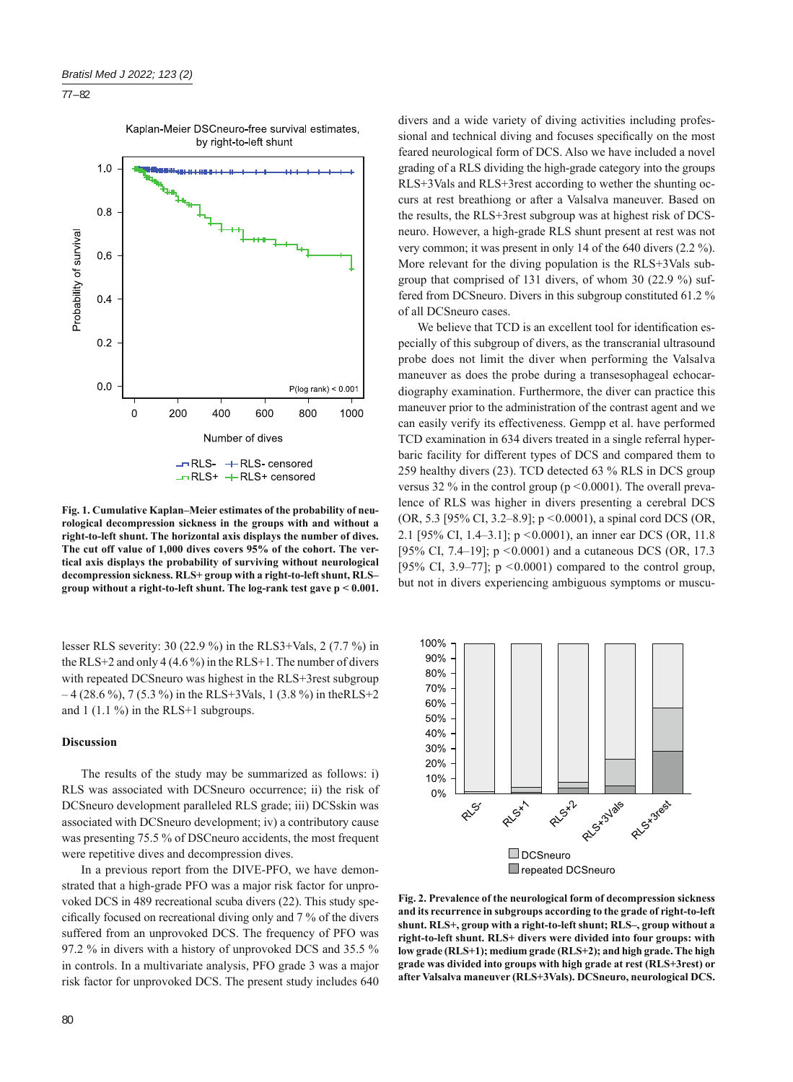## 77 – 82



**Fig. 1. Cumulative Kaplan–Meier estimates of the probability of neurological decompression sickness in the groups with and without a right-to-left shunt. The horizontal axis displays the number of dives. The cut off value of 1,000 dives covers 95% of the cohort. The vertical axis displays the probability of surviving without neurological decompression sickness. RLS+ group with a right-to-left shunt, RLS– group without a right-to-left shunt. The log-rank test gave p < 0.001.**

lesser RLS severity: 30 (22.9 %) in the RLS3+Vals, 2 (7.7 %) in the RLS+2 and only 4 (4.6 %) in the RLS+1. The number of divers with repeated DCS neuro was highest in the RLS+3rest subgroup  $-4$  (28.6 %), 7 (5.3 %) in the RLS+3Vals, 1 (3.8 %) in the RLS+2 and  $1(1.1\%)$  in the RLS+1 subgroups.

## **Discussion**

The results of the study may be summarized as follows: i) RLS was associated with DCSneuro occurrence; ii) the risk of DCSneuro development paralleled RLS grade; iii) DCSskin was associated with DCSneuro development; iv) a contributory cause was presenting 75.5 % of DSCneuro accidents, the most frequent were repetitive dives and decompression dives.

In a previous report from the DIVE-PFO, we have demonstrated that a high-grade PFO was a major risk factor for unprovoked DCS in 489 recreational scuba divers (22). This study specifi cally focused on recreational diving only and 7 % of the divers suffered from an unprovoked DCS. The frequency of PFO was 97.2 % in divers with a history of unprovoked DCS and 35.5 % in controls. In a multivariate analysis, PFO grade 3 was a major risk factor for unprovoked DCS. The present study includes 640 divers and a wide variety of diving activities including professional and technical diving and focuses specifically on the most feared neurological form of DCS. Also we have included a novel grading of a RLS dividing the high-grade category into the groups RLS+3Vals and RLS+3rest according to wether the shunting occurs at rest breathiong or after a Valsalva maneuver. Based on the results, the RLS+3rest subgroup was at highest risk of DCSneuro. However, a high-grade RLS shunt present at rest was not very common; it was present in only 14 of the 640 divers (2.2 %). More relevant for the diving population is the RLS+3Vals subgroup that comprised of 131 divers, of whom 30 (22.9 %) suffered from DCSneuro. Divers in this subgroup constituted 61.2 % of all DCSneuro cases.

We believe that TCD is an excellent tool for identification especially of this subgroup of divers, as the transcranial ultrasound probe does not limit the diver when performing the Valsalva maneuver as does the probe during a transesophageal echocardiography examination. Furthermore, the diver can practice this maneuver prior to the administration of the contrast agent and we can easily verify its effectiveness. Gempp et al. have performed TCD examination in 634 divers treated in a single referral hyperbaric facility for different types of DCS and compared them to 259 healthy divers (23). TCD detected 63 % RLS in DCS group versus 32 % in the control group ( $p \le 0.0001$ ). The overall prevalence of RLS was higher in divers presenting a cerebral DCS (OR, 5.3 [95% CI, 3.2–8.9]; p <0.0001), a spinal cord DCS (OR, 2.1 [95% CI, 1.4–3.1]; p <0.0001), an inner ear DCS (OR, 11.8 [95% CI, 7.4–19]; p < 0.0001) and a cutaneous DCS (OR, 17.3 [95% CI, 3.9–77];  $p \le 0.0001$ ) compared to the control group, but not in divers experiencing ambiguous symptoms or muscu-



**Fig. 2. Prevalence of the neurological form of decompression sickness and its recurrence in subgroups according to the grade of right-to-left shunt. RLS+, group with a right-to-left shunt; RLS–, group without a right-to-left shunt. RLS+ divers were divided into four groups: with low grade (RLS+1); medium grade (RLS+2); and high grade. The high grade was divided into groups with high grade at rest (RLS+3rest) or after Valsalva maneuver (RLS+3Vals). DCSneuro, neurological DCS.**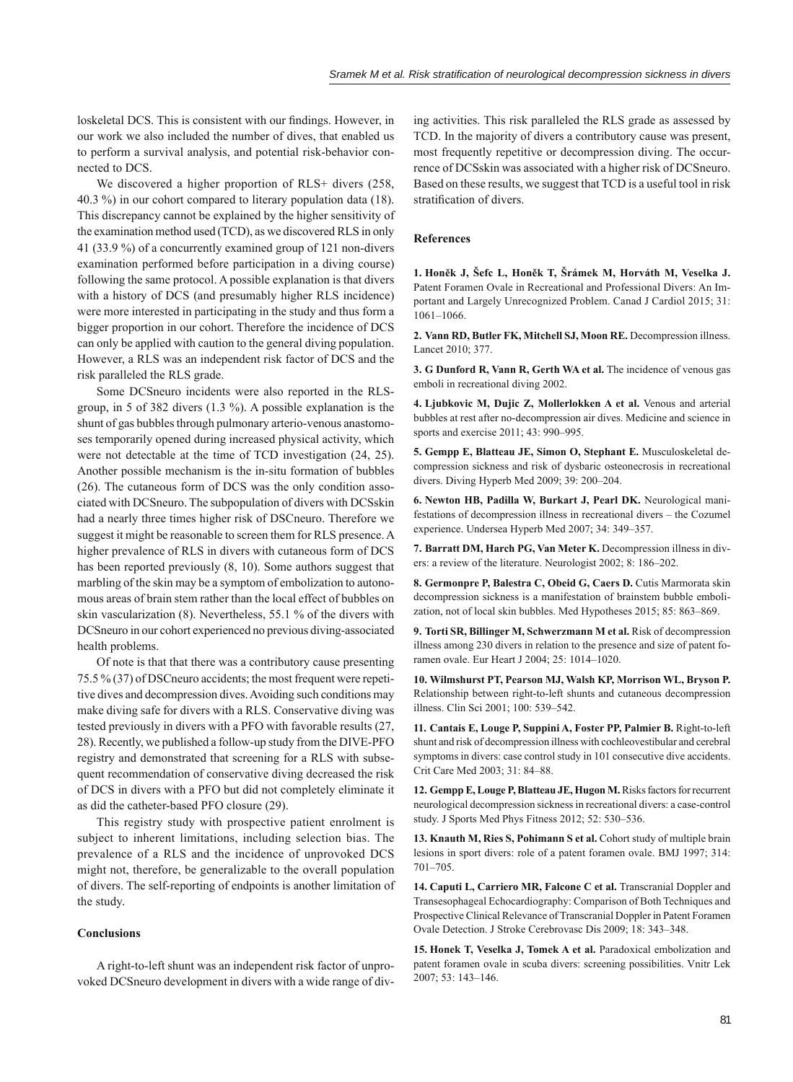loskeletal DCS. This is consistent with our findings. However, in our work we also included the number of dives, that enabled us to perform a survival analysis, and potential risk-behavior connected to DCS.

We discovered a higher proportion of RLS+ divers (258, 40.3 %) in our cohort compared to literary population data (18). This discrepancy cannot be explained by the higher sensitivity of the examination method used (TCD), as we discovered RLS in only 41 (33.9 %) of a concurrently examined group of 121 non-divers examination performed before participation in a diving course) following the same protocol. A possible explanation is that divers with a history of DCS (and presumably higher RLS incidence) were more interested in participating in the study and thus form a bigger proportion in our cohort. Therefore the incidence of DCS can only be applied with caution to the general diving population. However, a RLS was an independent risk factor of DCS and the risk paralleled the RLS grade.

Some DCSneuro incidents were also reported in the RLSgroup, in 5 of 382 divers (1.3 %). A possible explanation is the shunt of gas bubbles through pulmonary arterio-venous anastomoses temporarily opened during increased physical activity, which were not detectable at the time of TCD investigation (24, 25). Another possible mechanism is the in-situ formation of bubbles (26). The cutaneous form of DCS was the only condition associated with DCSneuro. The subpopulation of divers with DCSskin had a nearly three times higher risk of DSCneuro. Therefore we suggest it might be reasonable to screen them for RLS presence. A higher prevalence of RLS in divers with cutaneous form of DCS has been reported previously (8, 10). Some authors suggest that marbling of the skin may be a symptom of embolization to autonomous areas of brain stem rather than the local effect of bubbles on skin vascularization (8). Nevertheless, 55.1 % of the divers with DCSneuro in our cohort experienced no previous diving-associated health problems.

Of note is that that there was a contributory cause presenting 75.5 % (37) of DSCneuro accidents; the most frequent were repetitive dives and decompression dives. Avoiding such conditions may make diving safe for divers with a RLS. Conservative diving was tested previously in divers with a PFO with favorable results (27, 28). Recently, we published a follow-up study from the DIVE-PFO registry and demonstrated that screening for a RLS with subsequent recommendation of conservative diving decreased the risk of DCS in divers with a PFO but did not completely eliminate it as did the catheter-based PFO closure (29).

This registry study with prospective patient enrolment is subject to inherent limitations, including selection bias. The prevalence of a RLS and the incidence of unprovoked DCS might not, therefore, be generalizable to the overall population of divers. The self-reporting of endpoints is another limitation of the study.

# **Conclusions**

A right-to-left shunt was an independent risk factor of unprovoked DCSneuro development in divers with a wide range of diving activities. This risk paralleled the RLS grade as assessed by TCD. In the majority of divers a contributory cause was present, most frequently repetitive or decompression diving. The occurrence of DCSskin was associated with a higher risk of DCSneuro. Based on these results, we suggest that TCD is a useful tool in risk stratification of divers.

# **References**

**1. Honěk J, Šefc L, Honěk T, Šrámek M, Horváth M, Veselka J.** Patent Foramen Ovale in Recreational and Professional Divers: An Important and Largely Unrecognized Problem. Canad J Cardiol 2015; 31: 1061–1066.

**2. Vann RD, Butler FK, Mitchell SJ, Moon RE.** Decompression illness. Lancet 2010; 377.

**3. G Dunford R, Vann R, Gerth WA et al.** The incidence of venous gas emboli in recreational diving 2002.

**4. Ljubkovic M, Dujic Z, Mollerlokken A et al.** Venous and arterial bubbles at rest after no-decompression air dives. Medicine and science in sports and exercise 2011; 43: 990–995.

**5. Gempp E, Blatteau JE, Simon O, Stephant E.** Musculoskeletal decompression sickness and risk of dysbaric osteonecrosis in recreational divers. Diving Hyperb Med 2009; 39: 200–204.

**6. Newton HB, Padilla W, Burkart J, Pearl DK.** Neurological manifestations of decompression illness in recreational divers – the Cozumel experience. Undersea Hyperb Med 2007; 34: 349–357.

**7. Barratt DM, Harch PG, Van Meter K.** Decompression illness in divers: a review of the literature. Neurologist 2002; 8: 186–202.

**8. Germonpre P, Balestra C, Obeid G, Caers D.** Cutis Marmorata skin decompression sickness is a manifestation of brainstem bubble embolization, not of local skin bubbles. Med Hypotheses 2015; 85: 863–869.

**9. Torti SR, Billinger M, Schwerzmann M et al.** Risk of decompression illness among 230 divers in relation to the presence and size of patent foramen ovale. Eur Heart J 2004; 25: 1014–1020.

**10. Wilmshurst PT, Pearson MJ, Walsh KP, Morrison WL, Bryson P.** Relationship between right-to-left shunts and cutaneous decompression illness. Clin Sci 2001; 100: 539–542.

**11. Cantais E, Louge P, Suppini A, Foster PP, Palmier B.** Right-to-left shunt and risk of decompression illness with cochleovestibular and cerebral symptoms in divers: case control study in 101 consecutive dive accidents. Crit Care Med 2003; 31: 84–88.

**12. Gempp E, Louge P, Blatteau JE, Hugon M.** Risks factors for recurrent neurological decompression sickness in recreational divers: a case-control study. J Sports Med Phys Fitness 2012; 52: 530–536.

13. Knauth M, Ries S, Pohimann S et al. Cohort study of multiple brain lesions in sport divers: role of a patent foramen ovale. BMJ 1997; 314: 701–705.

**14. Caputi L, Carriero MR, Falcone C et al.** Transcranial Doppler and Transesophageal Echocardiography: Comparison of Both Techniques and Prospective Clinical Relevance of Transcranial Doppler in Patent Foramen Ovale Detection. J Stroke Cerebrovasc Dis 2009; 18: 343–348.

**15. Honek T, Veselka J, Tomek A et al.** Paradoxical embolization and patent foramen ovale in scuba divers: screening possibilities. Vnitr Lek 2007; 53: 143–146.